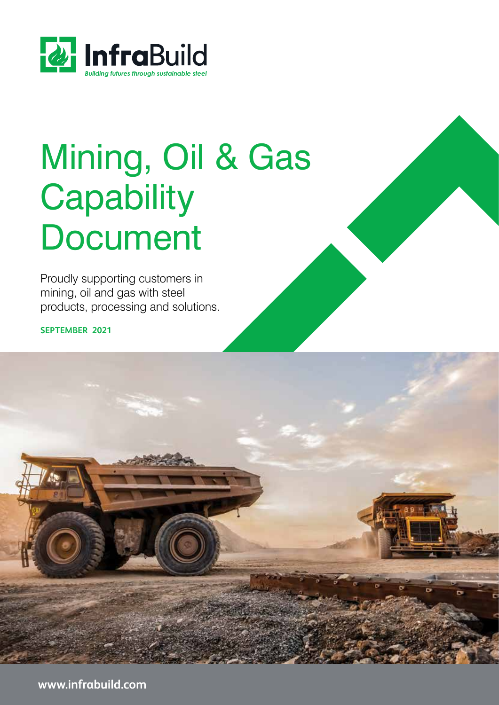

# Mining, Oil & Gas **Capability Document**

Proudly supporting customers in mining, oil and gas with steel products, processing and solutions.

**SEPTEMBER 2021**

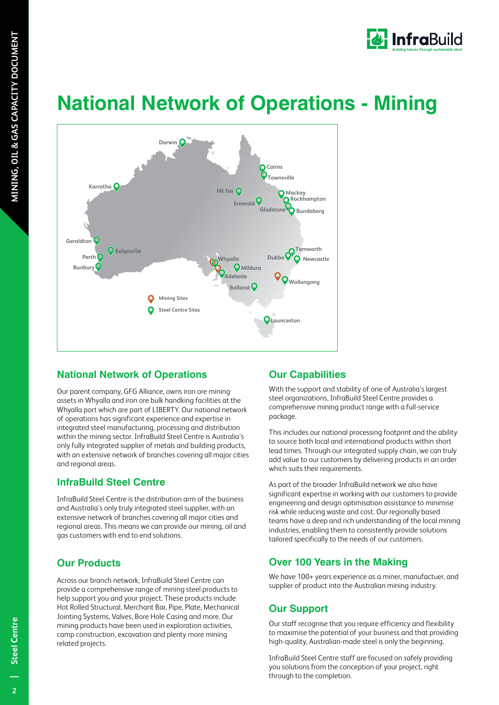

# **National Network of Operations - Mining**



## **National Network of Operations**

Our parent company, GFG Alliance, owns iron ore mining assets in Whyalla and iron ore bulk handking facilities at the Whyalla port which are part of LIBERTY. Our national network of operations has significant experience and expertise in integrated steel manufacturing, processing and distribution within the mining sector. InfraBuild Steel Centre is Australia's only fully integrated supplier of metals and building products, with an extensive network of branches covering all major cities and regional areas.

### **InfraBuild Steel Centre**

InfraBuild Steel Centre is the distribution arm of the business and Australia's only truly integrated steel supplier, with an extensive network of branches covering all major cities and regional areas. This means we can provide our mining, oil and gas customers with end to end solutions.

## **Our Products**

Across our branch network, InfraBuild Steel Centre can provide a comprehensive range of mining steel products to help support you and your project. These products include Hot Rolled Structural, Merchant Bar, Pipe, Plate, Mechanical Jointing Systems, Valves, Bore Hole Casing and more. Our mining products have been used in exploration activities, camp construction, excavation and plenty more mining related projects.

## **Our Capabilities**

With the support and stability of one of Australia's largest steel organizations, InfraBuild Steel Centre provides a comprehensive mining product range with a full-service package.

This includes our national processing footprint and the ability to source both local and international products within short lead times. Through our integrated supply chain, we can truly add value to our customers by delivering products in an order which suits their requirements.

As part of the broader InfraBuild network we also have significant expertise in working with our customers to provide engineering and design optimisation assistance to minimise risk while reducing waste and cost. Our regionally based teams have a deep and rich understanding of the local mining industries, enabling them to consistently provide solutions tailored specifically to the needs of our customers.

## **Over 100 Years in the Making**

We have 100+ years experience as a miner, manufactuer, and supplier of product into the Australian mining industry.

## **Our Support**

Our staff recognise that you require efficiency and flexibility to maximise the potential of your business and that providing high-quality, Australian-made steel is only the beginning.

InfraBuild Steel Centre staff are focused on safely providing you solutions from the conception of your project, right through to the completion.

 $\overline{2}$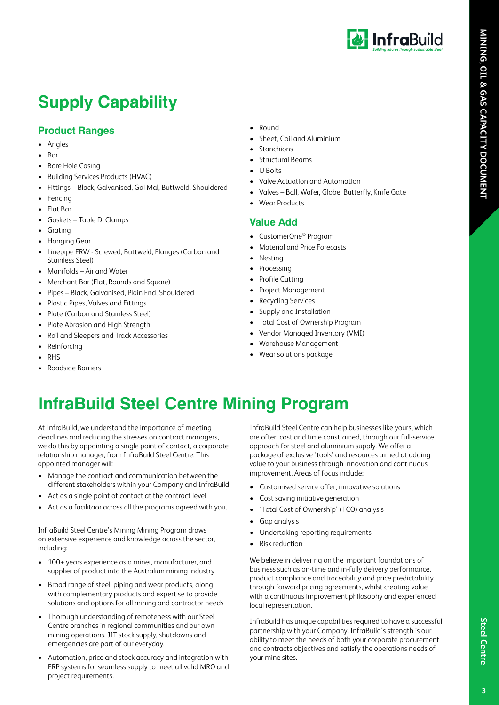

# **Supply Capability**

### **Product Ranges**

- Angles
- Bar
- Bore Hole Casing
- Building Services Products (HVAC)
- Fittings Black, Galvanised, Gal Mal, Buttweld, Shouldered
- **Fencing**
- Flat Bar
- Gaskets Table D, Clamps
- **Grating**
- Hanging Gear
- Linepipe ERW Screwed, Buttweld, Flanges (Carbon and Stainless Steel)
- Manifolds Air and Water
- Merchant Bar (Flat, Rounds and Square)
- Pipes Black, Galvanised, Plain End, Shouldered
- Plastic Pipes, Valves and Fittings
- Plate (Carbon and Stainless Steel)
- Plate Abrasion and High Strength
- Rail and Sleepers and Track Accessories
- Reinforcing
- **RHS**
- Roadside Barriers
- Round
- Sheet, Coil and Aluminium
- **Stanchions**
- Structural Beams
- U Bolts
- Valve Actuation and Automation
- Valves Ball, Wafer, Globe, Butterfly, Knife Gate
- Wear Products

### **Value Add**

- CustomerOne© Program
- Material and Price Forecasts
- **Nesting**
- **Processing**
- Profile Cutting
- Project Management
- Recycling Services
- Supply and Installation
- Total Cost of Ownership Program
- Vendor Managed Inventory (VMI)
- Warehouse Management
- Wear solutions package
- **InfraBuild Steel Centre Mining Program**

At InfraBuild, we understand the importance of meeting deadlines and reducing the stresses on contract managers, we do this by appointing a single point of contact, a corporate relationship manager, from InfraBuild Steel Centre. This appointed manager will:

- Manage the contract and communication between the different stakeholders within your Company and InfraBuild
- Act as a single point of contact at the contract level
- Act as a facilitaor across all the programs agreed with you.

InfraBuild Steel Centre's Mining Mining Program draws on extensive experience and knowledge across the sector, including:

- 100+ years experience as a miner, manufacturer, and supplier of product into the Australian mining industry
- Broad range of steel, piping and wear products, along with complementary products and expertise to provide solutions and options for all mining and contractor needs
- Thorough understanding of remoteness with our Steel Centre branches in regional communities and our own mining operations. JIT stock supply, shutdowns and emergencies are part of our everyday.
- Automation, price and stock accuracy and integration with ERP systems for seamless supply to meet all valid MRO and project requirements.

InfraBuild Steel Centre can help businesses like yours, which are often cost and time constrained, through our full-service approach for steel and aluminium supply. We offer a package of exclusive 'tools' and resources aimed at adding value to your business through innovation and continuous improvement. Areas of focus include:

- Customised service offer; innovative solutions
- Cost saving initiative generation
- 'Total Cost of Ownership' (TCO) analysis
- Gap analysis
- Undertaking reporting requirements
- **Risk reduction**

We believe in delivering on the important foundations of business such as on-time and in-fully delivery performance, product compliance and traceability and price predictability through forward pricing agreements, whilst creating value with a continuous improvement philosophy and experienced local representation.

InfraBuild has unique capabilities required to have a successful partnership with your Company. InfraBuild's strength is our ability to meet the needs of both your corporate procurement and contracts objectives and satisfy the operations needs of your mine sites.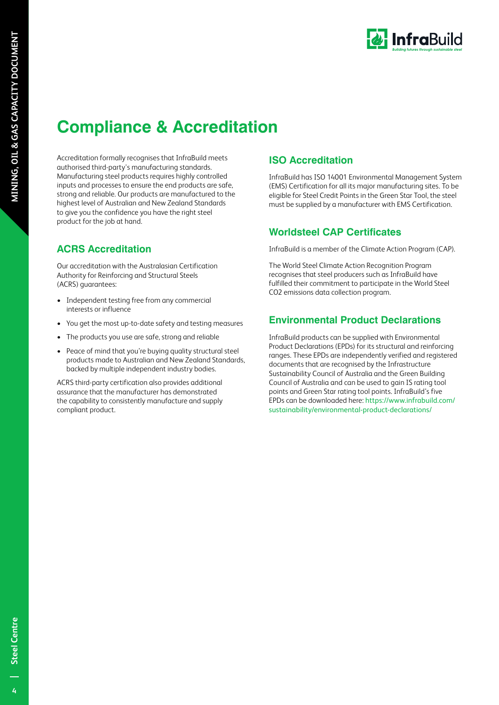

# **Compliance & Accreditation**

Accreditation formally recognises that InfraBuild meets authorised third-party's manufacturing standards. Manufacturing steel products requires highly controlled inputs and processes to ensure the end products are safe, strong and reliable. Our products are manufactured to the highest level of Australian and New Zealand Standards to give you the confidence you have the right steel product for the job at hand.

### **ACRS Accreditation**

Our accreditation with the Australasian Certification Authority for Reinforcing and Structural Steels (ACRS) guarantees:

- Independent testing free from any commercial interests or influence
- You get the most up-to-date safety and testing measures
- The products you use are safe, strong and reliable
- Peace of mind that you're buying quality structural steel products made to Australian and New Zealand Standards, backed by multiple independent industry bodies.

ACRS third-party certification also provides additional assurance that the manufacturer has demonstrated the capability to consistently manufacture and supply compliant product.

### **ISO Accreditation**

InfraBuild has ISO 14001 Environmental Management System (EMS) Certification for all its major manufacturing sites. To be eligible for Steel Credit Points in the Green Star Tool, the steel must be supplied by a manufacturer with EMS Certification.

### **Worldsteel CAP Certificates**

InfraBuild is a member of the Climate Action Program (CAP).

The World Steel Climate Action Recognition Program recognises that steel producers such as InfraBuild have fulfilled their commitment to participate in the World Steel CO2 emissions data collection program.

### **Environmental Product Declarations**

InfraBuild products can be supplied with Environmental Product Declarations (EPDs) for its structural and reinforcing ranges. These EPDs are independently verified and registered documents that are recognised by the Infrastructure Sustainability Council of Australia and the Green Building Council of Australia and can be used to gain IS rating tool points and Green Star rating tool points. InfraBuild's five EPDs can be downloaded here: https://www.infrabuild.com/ sustainability/environmental-product-declarations/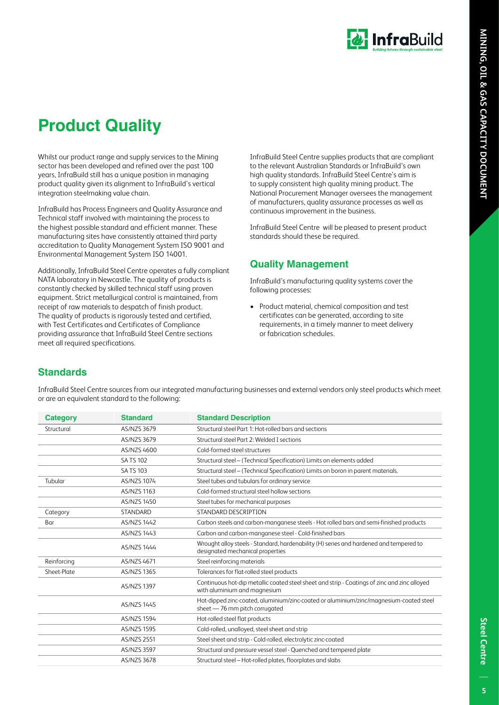

# **Product Quality**

Whilst our product range and supply services to the Mining sector has been developed and refined over the past 100 years, InfraBuild still has a unique position in managing product quality given its alignment to InfraBuild's vertical integration steelmaking value chain.

InfraBuild has Process Engineers and Quality Assurance and Technical staff involved with maintaining the process to the highest possible standard and efficient manner. These manufacturing sites have consistently attained third party accreditation to Quality Management System ISO 9001 and Environmental Management System ISO 14001.

Additionally, InfraBuild Steel Centre operates a fully compliant NATA laboratory in Newcastle. The quality of products is constantly checked by skilled technical staff using proven equipment. Strict metallurgical control is maintained, from receipt of raw materials to despatch of finish product. The quality of products is rigorously tested and certified, with Test Certificates and Certificates of Compliance providing assurance that InfraBuild Steel Centre sections meet all required specifications.

InfraBuild Steel Centre supplies products that are compliant to the relevant Australian Standards or InfraBuild's own high quality standards. InfraBuild Steel Centre's aim is to supply consistent high quality mining product. The National Procurement Manager oversees the management of manufacturers, quality assurance processes as well as continuous improvement in the business.

InfraBuild Steel Centre will be pleased to present product standards should these be required.

### **Quality Management**

InfraBuild's manufacturing quality systems cover the following processes:

• Product material, chemical composition and test certificates can be generated, according to site requirements, in a timely manner to meet delivery or fabrication schedules.

### **Standards**

| <b>Category</b> | <b>Standard</b>    | <b>Standard Description</b>                                                                                                  |
|-----------------|--------------------|------------------------------------------------------------------------------------------------------------------------------|
| Structural      | AS/NZS 3679        | Structural steel Part 1: Hot-rolled bars and sections                                                                        |
|                 | AS/NZS 3679        | Structural steel Part 2: Welded I sections                                                                                   |
|                 | AS/NZS 4600        | Cold-formed steel structures                                                                                                 |
|                 | <b>SATS 102</b>    | Structural steel - (Technical Specification) Limits on elements added                                                        |
|                 | <b>SATS 103</b>    | Structural steel - (Technical Specification) Limits on boron in parent materials.                                            |
| Tubular         | <b>AS/NZS 1074</b> | Steel tubes and tubulars for ordinary service                                                                                |
|                 | <b>AS/NZS 1163</b> | Cold-formed structural steel hollow sections                                                                                 |
|                 | AS/NZS 1450        | Steel tubes for mechanical purposes                                                                                          |
| Category        | STANDARD           | STANDARD DESCRIPTION                                                                                                         |
| Bar             | <b>AS/NZS 1442</b> | Carbon steels and carbon-manganese steels - Hot rolled bars and semi-finished products                                       |
|                 | AS/NZS 1443        | Carbon and carbon-manganese steel - Cold-finished bars                                                                       |
|                 | <b>AS/NZS 1444</b> | Wrought alloy steels - Standard, hardenability (H) series and hardened and tempered to<br>designated mechanical properties   |
| Reinforcing     | AS/NZS 4671        | Steel reinforcing materials                                                                                                  |
| Sheet-Plate     | AS/NZS 1365        | Tolerances for flat-rolled steel products                                                                                    |
|                 | <b>AS/NZS 1397</b> | Continuous hot-dip metallic coated steel sheet and strip - Coatings of zinc and zinc alloyed<br>with aluminium and magnesium |
|                 | AS/NZS 1445        | Hot-dipped zinc-coated, aluminium/zinc-coated or aluminium/zinc/magnesium-coated steel<br>sheet - 76 mm pitch corrugated     |
|                 | <b>AS/NZS 1594</b> | Hot-rolled steel flat products                                                                                               |
|                 | <b>AS/NZS 1595</b> | Cold-rolled, unalloyed, steel sheet and strip                                                                                |
|                 | <b>AS/NZS 2551</b> | Steel sheet and strip - Cold-rolled, electrolytic zinc-coated                                                                |
|                 | <b>AS/NZS 3597</b> | Structural and pressure vessel steel - Quenched and tempered plate                                                           |
|                 | AS/NZS 3678        | Structural steel - Hot-rolled plates, floorplates and slabs                                                                  |
|                 |                    |                                                                                                                              |

InfraBuild Steel Centre sources from our integrated manufacturing businesses and external vendors only steel products which meet or are an equivalent standard to the following: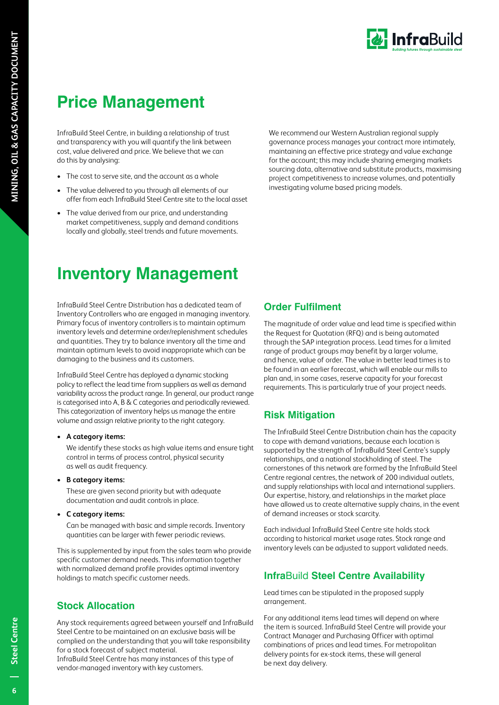

# **Price Management**

InfraBuild Steel Centre, in building a relationship of trust and transparency with you will quantify the link between cost, value delivered and price. We believe that we can do this by analysing:

- The cost to serve site, and the account as a whole
- The value delivered to you through all elements of our offer from each InfraBuild Steel Centre site to the local asset
- The value derived from our price, and understanding market competitiveness, supply and demand conditions locally and globally, steel trends and future movements.

We recommend our Western Australian regional supply governance process manages your contract more intimately, maintaining an effective price strategy and value exchange for the account; this may include sharing emerging markets sourcing data, alternative and substitute products, maximising project competitiveness to increase volumes, and potentially investigating volume based pricing models.

# **Inventory Management**

InfraBuild Steel Centre Distribution has a dedicated team of Inventory Controllers who are engaged in managing inventory. Primary focus of inventory controllers is to maintain optimum inventory levels and determine order/replenishment schedules and quantities. They try to balance inventory all the time and maintain optimum levels to avoid inappropriate which can be damaging to the business and its customers.

InfraBuild Steel Centre has deployed a dynamic stocking policy to reflect the lead time from suppliers as well as demand variability across the product range. In general, our product range is categorised into A, B & C categories and periodically reviewed. This categorization of inventory helps us manage the entire volume and assign relative priority to the right category.

#### **• A category items:**

We identify these stocks as high value items and ensure tight control in terms of process control, physical security as well as audit frequency.

#### **• B category items:**

These are given second priority but with adequate documentation and audit controls in place.

#### **• C category items:**

Can be managed with basic and simple records. Inventory quantities can be larger with fewer periodic reviews.

This is supplemented by input from the sales team who provide specific customer demand needs. This information together with normalized demand profile provides optimal inventory holdings to match specific customer needs.

### **Stock Allocation**

Any stock requirements agreed between yourself and InfraBuild Steel Centre to be maintained on an exclusive basis will be complied on the understanding that you will take responsibility for a stock forecast of subject material.

InfraBuild Steel Centre has many instances of this type of vendor-managed inventory with key customers.

### **Order Fulfilment**

The magnitude of order value and lead time is specified within the Request for Quotation (RFQ) and is being automated through the SAP integration process. Lead times for a limited range of product groups may benefit by a larger volume, and hence, value of order. The value in better lead times is to be found in an earlier forecast, which will enable our mills to plan and, in some cases, reserve capacity for your forecast requirements. This is particularly true of your project needs.

### **Risk Mitigation**

The InfraBuild Steel Centre Distribution chain has the capacity to cope with demand variations, because each location is supported by the strength of InfraBuild Steel Centre's supply relationships, and a national stockholding of steel. The cornerstones of this network are formed by the InfraBuild Steel Centre regional centres, the network of 200 individual outlets, and supply relationships with local and international suppliers. Our expertise, history, and relationships in the market place have allowed us to create alternative supply chains, in the event of demand increases or stock scarcity.

Each individual InfraBuild Steel Centre site holds stock according to historical market usage rates. Stock range and inventory levels can be adjusted to support validated needs.

### **Infra**Build **Steel Centre Availability**

Lead times can be stipulated in the proposed supply arrangement.

For any additional items lead times will depend on where the item is sourced. InfraBuild Steel Centre will provide your Contract Manager and Purchasing Officer with optimal combinations of prices and lead times. For metropolitan delivery points for ex-stock items, these will general be next day delivery.

 $\overline{6}$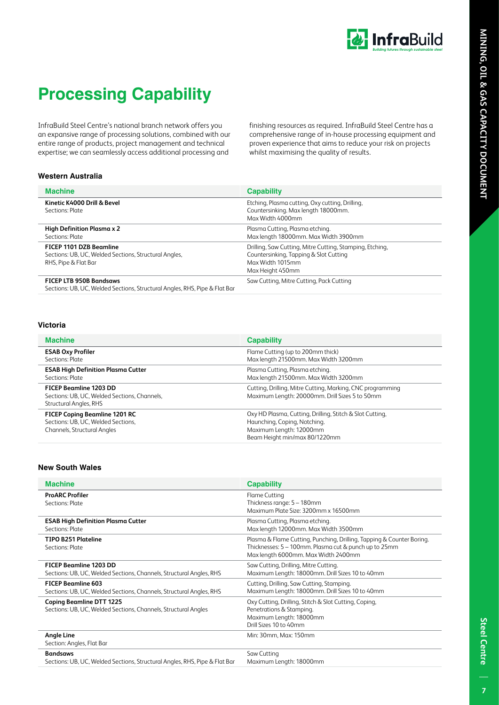

# **Processing Capability**

InfraBuild Steel Centre's national branch network offers you an expansive range of processing solutions, combined with our entire range of products, project management and technical expertise; we can seamlessly access additional processing and

finishing resources as required. InfraBuild Steel Centre has a comprehensive range of in-house processing equipment and proven experience that aims to reduce your risk on projects whilst maximising the quality of results.

#### **Western Australia**

| <b>Machine</b>                                                                                               | <b>Capability</b>                                                                                                                          |  |
|--------------------------------------------------------------------------------------------------------------|--------------------------------------------------------------------------------------------------------------------------------------------|--|
| Kinetic K4000 Drill & Bevel<br>Sections: Plate                                                               | Etching, Plasma cutting, Oxy cutting, Drilling,<br>Countersinking. Max length 18000mm.<br>Max Width 4000mm                                 |  |
| High Definition Plasma x 2<br>Sections: Plate                                                                | Plasma Cutting, Plasma etching.<br>Max length 18000mm. Max Width 3900mm                                                                    |  |
| FICEP 1101 DZB Beamline<br>Sections: UB, UC, Welded Sections, Structural Angles,<br>RHS, Pipe & Flat Bar     | Drilling, Saw Cutting, Mitre Cutting, Stamping, Etching,<br>Countersinking, Tapping & Slot Cutting<br>Max Width 1015mm<br>Max Height 450mm |  |
| <b>FICEP LTB 950B Bandsaws</b><br>Sections: UB, UC, Welded Sections, Structural Angles, RHS, Pipe & Flat Bar | Saw Cutting, Mitre Cutting, Pack Cutting                                                                                                   |  |

#### **Victoria**

| <b>Machine</b>                                                                                            | <b>Capability</b>                                                                                                                                    |
|-----------------------------------------------------------------------------------------------------------|------------------------------------------------------------------------------------------------------------------------------------------------------|
| <b>ESAB Oxy Profiler</b><br>Sections: Plate                                                               | Flame Cutting (up to 200mm thick)<br>Max length 21500mm. Max Width 3200mm                                                                            |
| <b>ESAB High Definition Plasma Cutter</b><br>Sections: Plate                                              | Plasma Cutting, Plasma etching.<br>Max length 21500mm. Max Width 3200mm                                                                              |
| <b>FICEP Beamline 1203 DD</b><br>Sections: UB, UC, Welded Sections, Channels,<br>Structural Angles, RHS   | Cutting, Drilling, Mitre Cutting, Marking, CNC programming<br>Maximum Length: 20000mm. Drill Sizes 5 to 50mm                                         |
| <b>FICEP Coping Beamline 1201 RC</b><br>Sections: UB, UC, Welded Sections,<br>Channels, Structural Angles | Oxy HD Plasma, Cutting, Drilling, Stitch & Slot Cutting,<br>Haunching, Coping, Notching.<br>Maximum Length: 12000mm<br>Beam Height min/max 80/1220mm |

#### **New South Wales**

| <b>Machine</b>                                                                                       | <b>Capability</b>                                                                                                                                                     |
|------------------------------------------------------------------------------------------------------|-----------------------------------------------------------------------------------------------------------------------------------------------------------------------|
| <b>ProARC Profiler</b><br>Sections: Plate                                                            | <b>Flame Cutting</b><br>Thickness range: 5 - 180mm<br>Maximum Plate Size: 3200mm x 16500mm                                                                            |
| <b>ESAB High Definition Plasma Cutter</b><br>Sections: Plate                                         | Plasma Cutting, Plasma etching.<br>Max length 12000mm. Max Width 3500mm                                                                                               |
| <b>TIPO B251 Plateline</b><br>Sections: Plate                                                        | Plasma & Flame Cutting, Punching, Drilling, Tapping & Counter Boring.<br>Thicknesses: 5 - 100mm. Plasma cut & punch up to 25mm<br>Max length 6000mm. Max Width 2400mm |
| <b>FICEP Beamline 1203 DD</b><br>Sections: UB, UC, Welded Sections, Channels, Structural Angles, RHS | Saw Cutting, Drilling, Mitre Cutting.<br>Maximum Length: 18000mm. Drill Sizes 10 to 40mm                                                                              |
| <b>FICEP Beamline 603</b><br>Sections: UB, UC, Welded Sections, Channels, Structural Angles, RHS     | Cutting, Drilling, Saw Cutting, Stamping.<br>Maximum Length: 18000mm. Drill Sizes 10 to 40mm                                                                          |
| <b>Coping Beamline DTT 1225</b><br>Sections: UB, UC, Welded Sections, Channels, Structural Angles    | Oxy Cutting, Drilling, Stitch & Slot Cutting, Coping,<br>Penetrations & Stamping.<br>Maximum Length: 18000mm<br>Drill Sizes 10 to 40mm                                |
| <b>Angle Line</b><br>Section: Angles, Flat Bar                                                       | Min: 30mm, Max: 150mm                                                                                                                                                 |
| <b>Bandsaws</b><br>Sections: UB, UC, Welded Sections, Structural Angles, RHS, Pipe & Flat Bar        | Saw Cutting<br>Maximum Length: 18000mm                                                                                                                                |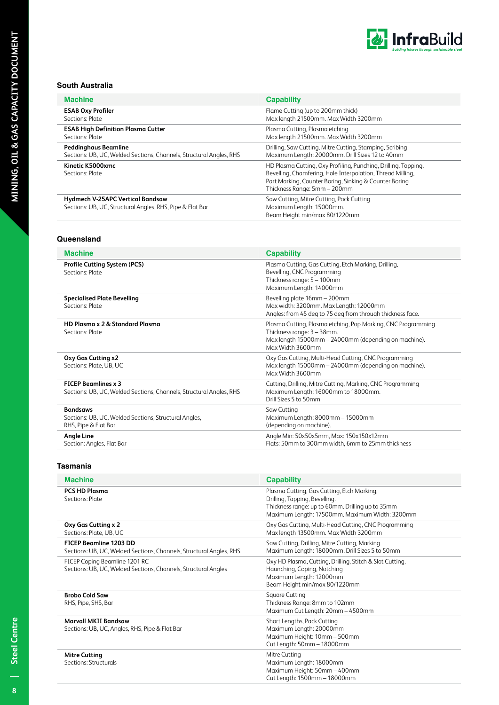

#### **South Australia**

| <b>Machine</b>                                                                                       | <b>Capability</b>                                                                                                                                                                                                      |
|------------------------------------------------------------------------------------------------------|------------------------------------------------------------------------------------------------------------------------------------------------------------------------------------------------------------------------|
| <b>ESAB Oxy Profiler</b>                                                                             | Flame Cutting (up to 200mm thick)                                                                                                                                                                                      |
| Sections: Plate                                                                                      | Max length 21500mm. Max Width 3200mm                                                                                                                                                                                   |
| <b>ESAB High Definition Plasma Cutter</b>                                                            | Plasma Cutting, Plasma etching                                                                                                                                                                                         |
| Sections: Plate                                                                                      | Max length 21500mm. Max Width 3200mm                                                                                                                                                                                   |
| Peddinghaus Beamline                                                                                 | Drilling, Saw Cutting, Mitre Cutting, Stamping, Scribing                                                                                                                                                               |
| Sections: UB, UC, Welded Sections, Channels, Structural Angles, RHS                                  | Maximum Length: 20000mm. Drill Sizes 12 to 40mm                                                                                                                                                                        |
| Kinetic K5000xmc<br>Sections: Plate                                                                  | HD Plasma Cutting, Oxy Profiling, Punching, Drilling, Tapping,<br>Bevelling, Chamfering, Hole Interpolation, Thread Milling,<br>Part Marking, Counter Boring, Sinking & Counter Boring<br>Thickness Range: 5mm - 200mm |
| <b>Hydmech V-25APC Vertical Bandsaw</b><br>Sections: UB, UC, Structural Angles, RHS, Pipe & Flat Bar | Saw Cutting, Mitre Cutting, Pack Cutting<br>Maximum Length: 15000mm.<br>Beam Height min/max 80/1220mm                                                                                                                  |

#### **Queensland**

| <b>Machine</b>                                                                                    | <b>Capability</b>                                                                                                                                                      |
|---------------------------------------------------------------------------------------------------|------------------------------------------------------------------------------------------------------------------------------------------------------------------------|
| <b>Profile Cutting System (PCS)</b><br>Sections: Plate                                            | Plasma Cutting, Gas Cutting, Etch Marking, Drilling,<br>Bevelling, CNC Programming<br>Thickness range: 5 - 100mm<br>Maximum Length: 14000mm                            |
| <b>Specialised Plate Bevelling</b><br>Sections: Plate                                             | Bevelling plate 16mm - 200mm<br>Max width: 3200mm. Max Length: 12000mm<br>Angles: from 45 deg to 75 deg from through thickness face.                                   |
| HD Plasma x 2 & Standard Plasma<br>Sections: Plate                                                | Plasma Cutting, Plasma etching, Pop Marking, CNC Programming<br>Thickness range: 3 - 38mm.<br>Max length 15000mm - 24000mm (depending on machine).<br>Max Width 3600mm |
| Oxy Gas Cutting x2<br>Sections: Plate, UB, UC                                                     | Oxy Gas Cutting, Multi-Head Cutting, CNC Programming<br>Max length 15000mm - 24000mm (depending on machine).<br>Max Width 3600mm                                       |
| <b>FICEP Beamlines x 3</b><br>Sections: UB, UC, Welded Sections, Channels, Structural Angles, RHS | Cutting, Drilling, Mitre Cutting, Marking, CNC Programming<br>Maximum Length: 16000mm to 18000mm.<br>Drill Sizes 5 to 50mm                                             |
| <b>Bandsaws</b><br>Sections: UB, UC, Welded Sections, Structural Angles,<br>RHS, Pipe & Flat Bar  | Saw Cutting<br>Maximum Length: 8000mm - 15000mm<br>(depending on machine).                                                                                             |
| <b>Angle Line</b><br>Section: Angles, Flat Bar                                                    | Angle Min: 50x50x5mm, Max: 150x150x12mm<br>Flats: 50mm to 300mm width, 6mm to 25mm thickness                                                                           |

#### **Tasmania**

| <b>Machine</b>                                                                                       | <b>Capability</b>                                                                                                                                                                 |
|------------------------------------------------------------------------------------------------------|-----------------------------------------------------------------------------------------------------------------------------------------------------------------------------------|
| <b>PCS HD Plasma</b><br>Sections: Plate                                                              | Plasma Cutting, Gas Cutting, Etch Marking,<br>Drilling, Tapping, Bevelling.<br>Thickness range: up to 60mm. Drilling up to 35mm<br>Maximum Length: 17500mm. Maximum Width: 3200mm |
| Oxy Gas Cutting x 2<br>Sections: Plate, UB, UC                                                       | Oxy Gas Cutting, Multi-Head Cutting, CNC Programming<br>Max length 13500mm. Max Width 3200mm                                                                                      |
| <b>FICEP Beamline 1203 DD</b><br>Sections: UB, UC, Welded Sections, Channels, Structural Angles, RHS | Saw Cutting, Drilling, Mitre Cutting, Marking<br>Maximum Length: 18000mm. Drill Sizes 5 to 50mm                                                                                   |
| FICEP Coping Beamline 1201 RC<br>Sections: UB, UC, Welded Sections, Channels, Structural Angles      | Oxy HD Plasma, Cutting, Drilling, Stitch & Slot Cutting,<br>Haunching, Coping, Notching<br>Maximum Length: 12000mm<br>Beam Height min/max 80/1220mm                               |
| <b>Brobo Cold Saw</b><br>RHS, Pipe, SHS, Bar                                                         | Square Cutting<br>Thickness Range: 8mm to 102mm<br>Maximum Cut Length: 20mm - 4500mm                                                                                              |
| <b>Marvall MKII Bandsaw</b><br>Sections: UB, UC, Angles, RHS, Pipe & Flat Bar                        | Short Lengths, Pack Cutting<br>Maximum Length: 20000mm<br>Maximum Height: 10mm - 500mm<br>Cut Length: 50mm - 18000mm                                                              |
| <b>Mitre Cutting</b><br>Sections: Structurals                                                        | Mitre Cutting<br>Maximum Length: 18000mm<br>Maximum Height: 50mm - 400mm<br>Cut Length: 1500mm - 18000mm                                                                          |

 $\overline{\mathbf{8}}$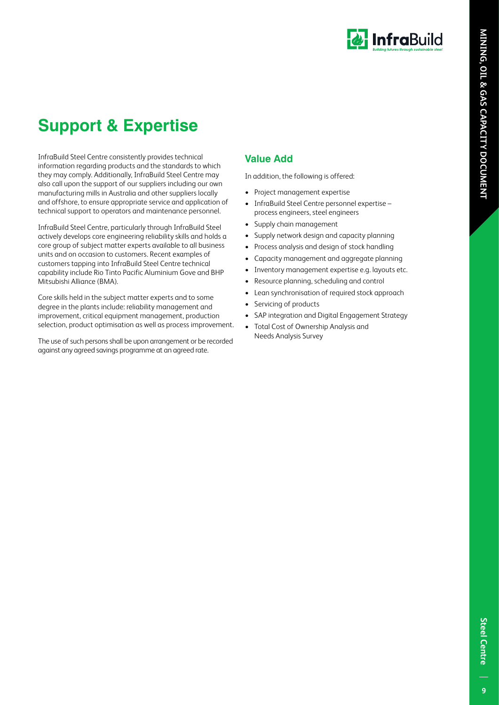

# **Support & Expertise**

InfraBuild Steel Centre consistently provides technical information regarding products and the standards to which they may comply. Additionally, InfraBuild Steel Centre may also call upon the support of our suppliers including our own manufacturing mills in Australia and other suppliers locally and offshore, to ensure appropriate service and application of technical support to operators and maintenance personnel.

InfraBuild Steel Centre, particularly through InfraBuild Steel actively develops core engineering reliability skills and holds a core group of subject matter experts available to all business units and on occasion to customers. Recent examples of customers tapping into InfraBuild Steel Centre technical capability include Rio Tinto Pacific Aluminium Gove and BHP Mitsubishi Alliance (BMA).

Core skills held in the subject matter experts and to some degree in the plants include: reliability management and improvement, critical equipment management, production selection, product optimisation as well as process improvement.

The use of such persons shall be upon arrangement or be recorded against any agreed savings programme at an agreed rate.

### **Value Add**

In addition, the following is offered:

- Project management expertise
- InfraBuild Steel Centre personnel expertise process engineers, steel engineers
- Supply chain management
- Supply network design and capacity planning
- Process analysis and design of stock handling
- Capacity management and aggregate planning
- Inventory management expertise e.g. layouts etc.
- Resource planning, scheduling and control
- Lean synchronisation of required stock approach
- Servicing of products
- SAP integration and Digital Engagement Strategy
- Total Cost of Ownership Analysis and Needs Analysis Survey